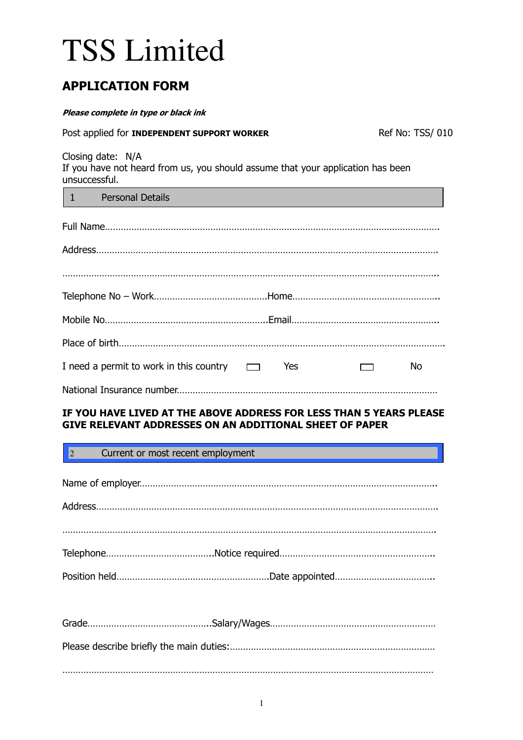# TSS Limited

# APPLICATION FORM

#### Please complete in type or black ink

| Post applied for INDEPENDENT SUPPORT WORKER                                                                                           |  |                          | Ref No: TSS/ 010 |
|---------------------------------------------------------------------------------------------------------------------------------------|--|--------------------------|------------------|
| Closing date: N/A<br>If you have not heard from us, you should assume that your application has been<br>unsuccessful.                 |  |                          |                  |
| $\begin{array}{ccc} 1 & \end{array}$<br><b>Personal Details</b>                                                                       |  |                          |                  |
|                                                                                                                                       |  |                          |                  |
|                                                                                                                                       |  |                          |                  |
|                                                                                                                                       |  |                          |                  |
|                                                                                                                                       |  |                          |                  |
|                                                                                                                                       |  |                          |                  |
|                                                                                                                                       |  |                          |                  |
| I need a permit to work in this country $\Box$ Yes                                                                                    |  | $\overline{\phantom{0}}$ | No.              |
|                                                                                                                                       |  |                          |                  |
| IF YOU HAVE LIVED AT THE ABOVE ADDRESS FOR LESS THAN 5 YEARS PLEASE<br><b>GIVE RELEVANT ADDRESSES ON AN ADDITIONAL SHEET OF PAPER</b> |  |                          |                  |

| 2 Current or most recent employment |  |
|-------------------------------------|--|
|                                     |  |
|                                     |  |
|                                     |  |
|                                     |  |
|                                     |  |
|                                     |  |
|                                     |  |
|                                     |  |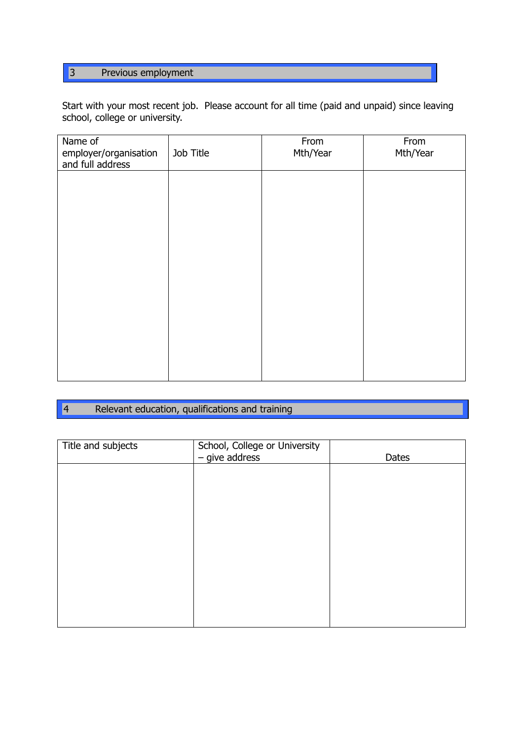# 3 Previous employment

Start with your most recent job. Please account for all time (paid and unpaid) since leaving school, college or university.

| Name of<br>employer/organisation<br>and full address | Job Title | From<br>Mth/Year | From<br>Mth/Year |
|------------------------------------------------------|-----------|------------------|------------------|
|                                                      |           |                  |                  |
|                                                      |           |                  |                  |
|                                                      |           |                  |                  |
|                                                      |           |                  |                  |
|                                                      |           |                  |                  |
|                                                      |           |                  |                  |
|                                                      |           |                  |                  |

#### $\boxed{4}$ Relevant education, qualifications and training

٦

| Title and subjects | School, College or University<br>$-$ give address | Dates |
|--------------------|---------------------------------------------------|-------|
|                    |                                                   |       |
|                    |                                                   |       |
|                    |                                                   |       |
|                    |                                                   |       |
|                    |                                                   |       |
|                    |                                                   |       |
|                    |                                                   |       |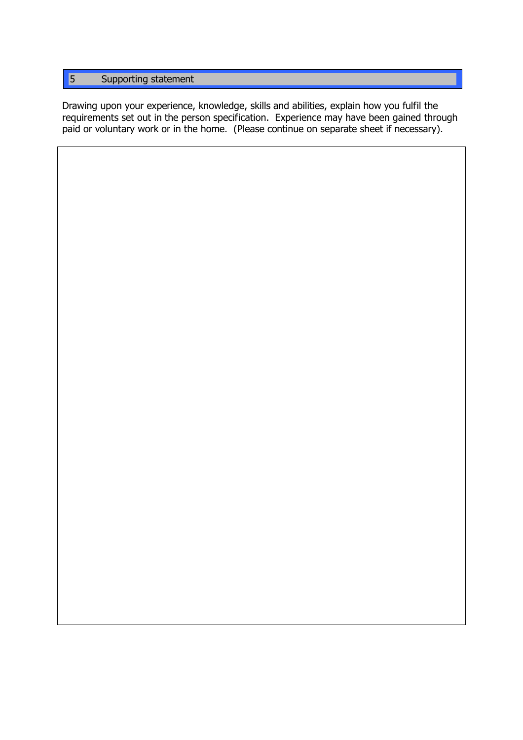# 5 Supporting statement

Drawing upon your experience, knowledge, skills and abilities, explain how you fulfil the requirements set out in the person specification. Experience may have been gained through paid or voluntary work or in the home. (Please continue on separate sheet if necessary).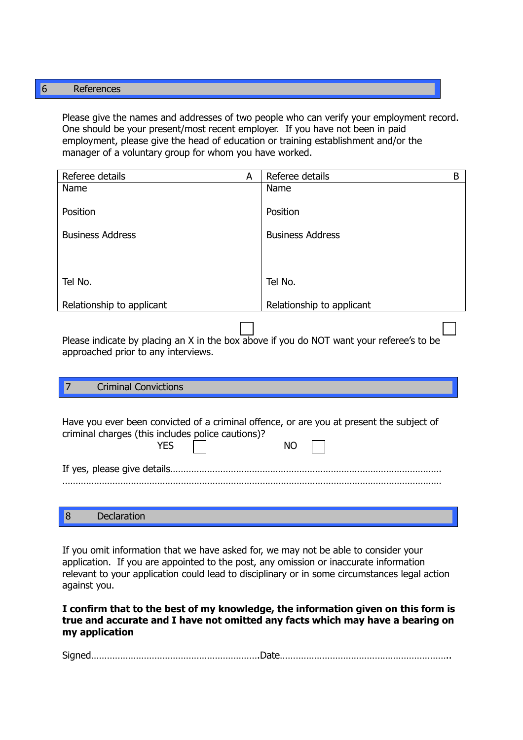## 6 References

Please give the names and addresses of two people who can verify your employment record. One should be your present/most recent employer. If you have not been in paid employment, please give the head of education or training establishment and/or the manager of a voluntary group for whom you have worked.

| B |
|---|
|   |
|   |
|   |
|   |
|   |
|   |
|   |
|   |
|   |
|   |
|   |

Please indicate by placing an X in the box above if you do NOT want your referee's to be approached prior to any interviews.

#### 7 Criminal Convictions

|  | <b>YES</b> | Have you ever been convicted of a criminal offence, or are you at present the subject of<br>criminal charges (this includes police cautions)? | NΟ |  |  |
|--|------------|-----------------------------------------------------------------------------------------------------------------------------------------------|----|--|--|
|  |            |                                                                                                                                               |    |  |  |
|  |            |                                                                                                                                               |    |  |  |
|  |            |                                                                                                                                               |    |  |  |

If you omit information that we have asked for, we may not be able to consider your application. If you are appointed to the post, any omission or inaccurate information relevant to your application could lead to disciplinary or in some circumstances legal action against you.

I confirm that to the best of my knowledge, the information given on this form is true and accurate and I have not omitted any facts which may have a bearing on my application

| $\sim$<br><u> 1996 - 1996 - 1996 - 1997 - 1998 - 1998 - 1998 - 1998 - 1998 - 1998 - 1998 - 1998 - 1998 - 1998 - 1998 - 199</u> |
|--------------------------------------------------------------------------------------------------------------------------------|
|--------------------------------------------------------------------------------------------------------------------------------|